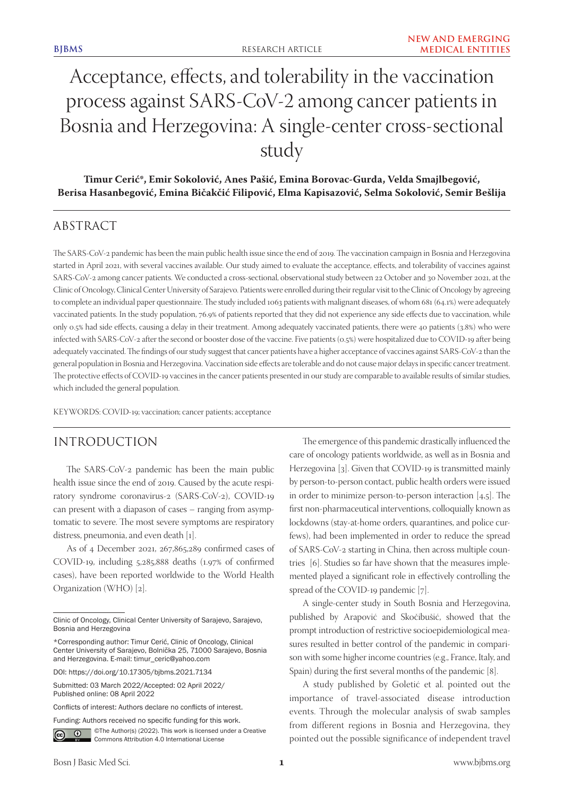# Acceptance, effects, and tolerability in the vaccination process against SARS-CoV-2 among cancer patients in Bosnia and Herzegovina: A single-center cross-sectional study

**Timur Cerić\*, Emir Sokolović, Anes Pašić, Emina Borovac-Gurda, Velda Smajlbegović, Berisa Hasanbegović, Emina Bičakčić Filipović, Elma Kapisazović, Selma Sokolović, Semir Bešlija**

# ABSTRACT

The SARS-CoV-2 pandemic has been the main public health issue since the end of 2019. The vaccination campaign in Bosnia and Herzegovina started in April 2021, with several vaccines available. Our study aimed to evaluate the acceptance, effects, and tolerability of vaccines against SARS-CoV-2 among cancer patients. We conducted a cross-sectional, observational study between 22 October and 30 November 2021, at the Clinic of Oncology, Clinical Center University of Sarajevo. Patients were enrolled during their regular visit to the Clinic of Oncology by agreeing to complete an individual paper questionnaire. The study included 1063 patients with malignant diseases, of whom 681 (64.1%) were adequately vaccinated patients. In the study population, 76.9% of patients reported that they did not experience any side effects due to vaccination, while only 0.5% had side effects, causing a delay in their treatment. Among adequately vaccinated patients, there were 40 patients (3.8%) who were infected with SARS-CoV-2 after the second or booster dose of the vaccine. Five patients (0.5%) were hospitalized due to COVID-19 after being adequately vaccinated. The findings of our study suggest that cancer patients have a higher acceptance of vaccines against SARS-CoV-2 than the general population in Bosnia and Herzegovina. Vaccination side effects are tolerable and do not cause major delays in specific cancer treatment. The protective effects of COVID-19 vaccines in the cancer patients presented in our study are comparable to available results of similar studies, which included the general population.

KEYWORDS: COVID-19; vaccination; cancer patients; acceptance

# INTRODUCTION

The SARS-CoV-2 pandemic has been the main public health issue since the end of 2019. Caused by the acute respiratory syndrome coronavirus-2 (SARS-CoV-2), COVID-19 can present with a diapason of cases – ranging from asymptomatic to severe. The most severe symptoms are respiratory distress, pneumonia, and even death [1].

As of 4 December 2021, 267,865,289 confirmed cases of COVID-19, including 5,285,888 deaths (1.97% of confirmed cases), have been reported worldwide to the World Health Organization (WHO) [2].

Funding: Authors received no specific funding for this work.



©The Author(s) (2022). This work is licensed under a Creative Commons Attribution 4.0 International License

The emergence of this pandemic drastically influenced the care of oncology patients worldwide, as well as in Bosnia and Herzegovina [3]. Given that COVID-19 is transmitted mainly by person-to-person contact, public health orders were issued in order to minimize person-to-person interaction [4,5]. The first non-pharmaceutical interventions, colloquially known as lockdowns (stay-at-home orders, quarantines, and police curfews), had been implemented in order to reduce the spread of SARS-CoV-2 starting in China, then across multiple countries [6]. Studies so far have shown that the measures implemented played a significant role in effectively controlling the spread of the COVID-19 pandemic [7].

A single-center study in South Bosnia and Herzegovina, published by Arapović and Skočibušić, showed that the prompt introduction of restrictive socioepidemiological measures resulted in better control of the pandemic in comparison with some higher income countries (e.g., France, Italy, and Spain) during the first several months of the pandemic [8].

A study published by Goletić et al. pointed out the importance of travel-associated disease introduction events. Through the molecular analysis of swab samples from different regions in Bosnia and Herzegovina, they pointed out the possible significance of independent travel

Clinic of Oncology, Clinical Center University of Sarajevo, Sarajevo, Bosnia and Herzegovina

<sup>\*</sup>Corresponding author: Timur Cerić, Clinic of Oncology, Clinical Center University of Sarajevo, Bolnička 25, 71000 Sarajevo, Bosnia and Herzegovina. E-mail: timur\_ceric@yahoo.com

DOI: https://doi.org/10.17305/bjbms.2021.7134

Submitted: 03 March 2022/Accepted: 02 April 2022/ Published online: 08 April 2022

Conflicts of interest: Authors declare no conflicts of interest.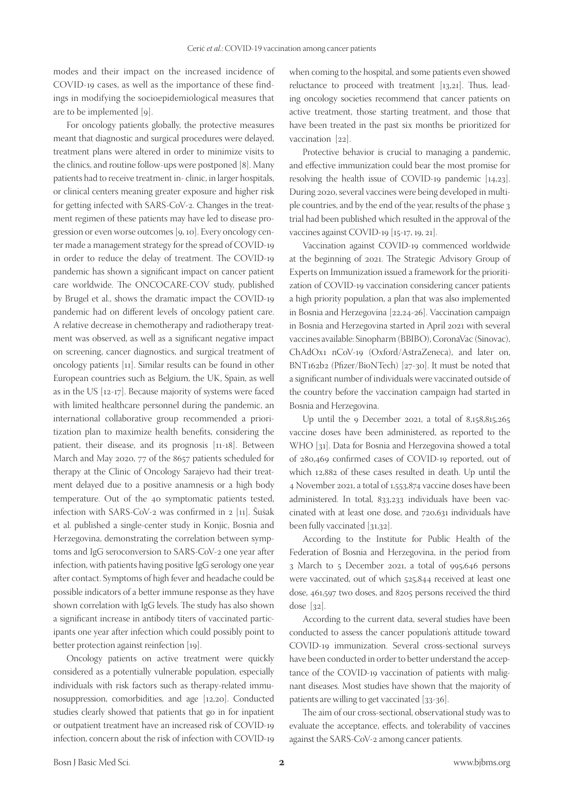modes and their impact on the increased incidence of COVID-19 cases, as well as the importance of these findings in modifying the socioepidemiological measures that are to be implemented [9].

For oncology patients globally, the protective measures meant that diagnostic and surgical procedures were delayed, treatment plans were altered in order to minimize visits to the clinics, and routine follow-ups were postponed [8]. Many patients had to receive treatment in- clinic, in larger hospitals, or clinical centers meaning greater exposure and higher risk for getting infected with SARS-CoV-2. Changes in the treatment regimen of these patients may have led to disease progression or even worse outcomes [9, 10]. Every oncology center made a management strategy for the spread of COVID-19 in order to reduce the delay of treatment. The COVID-19 pandemic has shown a significant impact on cancer patient care worldwide. The ONCOCARE-COV study, published by Brugel et al., shows the dramatic impact the COVID-19 pandemic had on different levels of oncology patient care. A relative decrease in chemotherapy and radiotherapy treatment was observed, as well as a significant negative impact on screening, cancer diagnostics, and surgical treatment of oncology patients [11]. Similar results can be found in other European countries such as Belgium, the UK, Spain, as well as in the US [12-17]. Because majority of systems were faced with limited healthcare personnel during the pandemic, an international collaborative group recommended a prioritization plan to maximize health benefits, considering the patient, their disease, and its prognosis [11-18]. Between March and May 2020, 77 of the 8657 patients scheduled for therapy at the Clinic of Oncology Sarajevo had their treatment delayed due to a positive anamnesis or a high body temperature. Out of the 40 symptomatic patients tested, infection with SARS-CoV-2 was confirmed in 2 [11]. Šušak et al. published a single-center study in Konjic, Bosnia and Herzegovina, demonstrating the correlation between symptoms and IgG seroconversion to SARS-CoV-2 one year after infection, with patients having positive IgG serology one year after contact. Symptoms of high fever and headache could be possible indicators of a better immune response as they have shown correlation with IgG levels. The study has also shown a significant increase in antibody titers of vaccinated participants one year after infection which could possibly point to better protection against reinfection [19].

Oncology patients on active treatment were quickly considered as a potentially vulnerable population, especially individuals with risk factors such as therapy-related immunosuppression, comorbidities, and age [12,20]. Conducted studies clearly showed that patients that go in for inpatient or outpatient treatment have an increased risk of COVID-19 infection, concern about the risk of infection with COVID-19

when coming to the hospital, and some patients even showed reluctance to proceed with treatment [13,21]. Thus, leading oncology societies recommend that cancer patients on active treatment, those starting treatment, and those that have been treated in the past six months be prioritized for vaccination [22].

Protective behavior is crucial to managing a pandemic, and effective immunization could bear the most promise for resolving the health issue of COVID-19 pandemic [14,23]. During 2020, several vaccines were being developed in multiple countries, and by the end of the year, results of the phase 3 trial had been published which resulted in the approval of the vaccines against COVID-19 [15-17, 19, 21].

Vaccination against COVID-19 commenced worldwide at the beginning of 2021. The Strategic Advisory Group of Experts on Immunization issued a framework for the prioritization of COVID-19 vaccination considering cancer patients a high priority population, a plan that was also implemented in Bosnia and Herzegovina [22,24-26]. Vaccination campaign in Bosnia and Herzegovina started in April 2021 with several vaccines available: Sinopharm (BBIBO), CoronaVac (Sinovac), ChAdOx1 nCoV-19 (Oxford/AstraZeneca), and later on, BNT162b2 (Pfizer/BioNTech) [27-30]. It must be noted that a significant number of individuals were vaccinated outside of the country before the vaccination campaign had started in Bosnia and Herzegovina.

Up until the 9 December 2021, a total of  $8,158,815,265$ vaccine doses have been administered, as reported to the WHO [31]. Data for Bosnia and Herzegovina showed a total of 280,469 confirmed cases of COVID-19 reported, out of which 12,882 of these cases resulted in death. Up until the 4 November 2021, a total of 1,553,874 vaccine doses have been administered. In total, 833,233 individuals have been vaccinated with at least one dose, and 720,631 individuals have been fully vaccinated [31,32].

According to the Institute for Public Health of the Federation of Bosnia and Herzegovina, in the period from 3 March to 5 December 2021, a total of 995,646 persons were vaccinated, out of which 525,844 received at least one dose, 461,597 two doses, and 8205 persons received the third dose [32].

According to the current data, several studies have been conducted to assess the cancer population's attitude toward COVID-19 immunization. Several cross-sectional surveys have been conducted in order to better understand the acceptance of the COVID-19 vaccination of patients with malignant diseases. Most studies have shown that the majority of patients are willing to get vaccinated [33-36].

The aim of our cross-sectional, observational study was to evaluate the acceptance, effects, and tolerability of vaccines against the SARS-CoV-2 among cancer patients.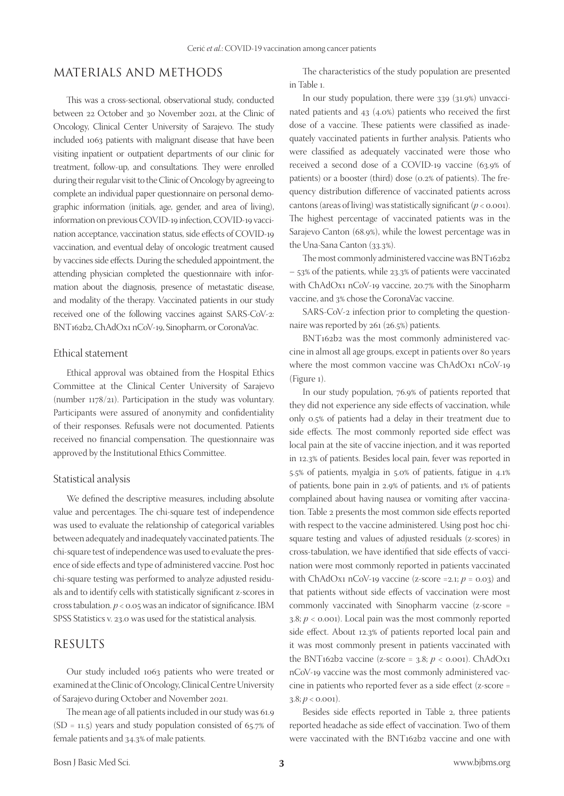# MATERIALS AND METHODS

This was a cross-sectional, observational study, conducted between 22 October and 30 November 2021, at the Clinic of Oncology, Clinical Center University of Sarajevo. The study included 1063 patients with malignant disease that have been visiting inpatient or outpatient departments of our clinic for treatment, follow-up, and consultations. They were enrolled during their regular visit to the Clinic of Oncology by agreeing to complete an individual paper questionnaire on personal demographic information (initials, age, gender, and area of living), information on previous COVID-19 infection, COVID-19 vaccination acceptance, vaccination status, side effects of COVID-19 vaccination, and eventual delay of oncologic treatment caused by vaccines side effects. During the scheduled appointment, the attending physician completed the questionnaire with information about the diagnosis, presence of metastatic disease, and modality of the therapy. Vaccinated patients in our study received one of the following vaccines against SARS-CoV-2: BNT162b2, ChAdOx1 nCoV-19, Sinopharm, or CoronaVac.

#### Ethical statement

Ethical approval was obtained from the Hospital Ethics Committee at the Clinical Center University of Sarajevo (number 1178/21). Participation in the study was voluntary. Participants were assured of anonymity and confidentiality of their responses. Refusals were not documented. Patients received no financial compensation. The questionnaire was approved by the Institutional Ethics Committee.

#### Statistical analysis

We defined the descriptive measures, including absolute value and percentages. The chi-square test of independence was used to evaluate the relationship of categorical variables between adequately and inadequately vaccinated patients. The chi-square test of independence was used to evaluate the presence of side effects and type of administered vaccine. Post hoc chi-square testing was performed to analyze adjusted residuals and to identify cells with statistically significant z-scores in cross tabulation. *p* < 0.05 was an indicator of significance. IBM SPSS Statistics v. 23.0 was used for the statistical analysis.

### RESULTS

Our study included 1063 patients who were treated or examined at the Clinic of Oncology, Clinical Centre University of Sarajevo during October and November 2021.

The mean age of all patients included in our study was 61.9 (SD = 11.5) years and study population consisted of 65.7% of female patients and 34.3% of male patients.

The characteristics of the study population are presented in Table 1.

In our study population, there were 339 (31.9%) unvaccinated patients and 43 (4.0%) patients who received the first dose of a vaccine. These patients were classified as inadequately vaccinated patients in further analysis. Patients who were classified as adequately vaccinated were those who received a second dose of a COVID-19 vaccine (63.9% of patients) or a booster (third) dose (0.2% of patients). The frequency distribution difference of vaccinated patients across cantons (areas of living) was statistically significant  $(p < 0.001)$ . The highest percentage of vaccinated patients was in the Sarajevo Canton (68.9%), while the lowest percentage was in the Una-Sana Canton (33.3%).

The most commonly administered vaccine was BNT162b2 – 53% of the patients, while 23.3% of patients were vaccinated with ChAdOx1 nCoV-19 vaccine, 20.7% with the Sinopharm vaccine, and 3% chose the CoronaVac vaccine.

SARS-CoV-2 infection prior to completing the questionnaire was reported by 261 (26.5%) patients.

BNT162b2 was the most commonly administered vaccine in almost all age groups, except in patients over 80 years where the most common vaccine was ChAdOx1 nCoV-19 (Figure 1).

In our study population, 76.9% of patients reported that they did not experience any side effects of vaccination, while only 0.5% of patients had a delay in their treatment due to side effects. The most commonly reported side effect was local pain at the site of vaccine injection, and it was reported in 12.3% of patients. Besides local pain, fever was reported in 5.5% of patients, myalgia in 5.0% of patients, fatigue in 4.1% of patients, bone pain in 2.9% of patients, and 1% of patients complained about having nausea or vomiting after vaccination. Table 2 presents the most common side effects reported with respect to the vaccine administered. Using post hoc chisquare testing and values of adjusted residuals (z-scores) in cross-tabulation, we have identified that side effects of vaccination were most commonly reported in patients vaccinated with ChAdOx1 nCoV-19 vaccine (z-score =2.1;  $p = 0.03$ ) and that patients without side effects of vaccination were most commonly vaccinated with Sinopharm vaccine (z-score = 3.8;  $p <$  0.001). Local pain was the most commonly reported side effect. About 12.3% of patients reported local pain and it was most commonly present in patients vaccinated with the BNT162b2 vaccine (z-score = 3.8; *p* < 0.001). ChAdOx1 nCoV-19 vaccine was the most commonly administered vaccine in patients who reported fever as a side effect (z-score =  $3.8; p < 0.001$ ).

Besides side effects reported in Table 2, three patients reported headache as side effect of vaccination. Two of them were vaccinated with the BNT162b2 vaccine and one with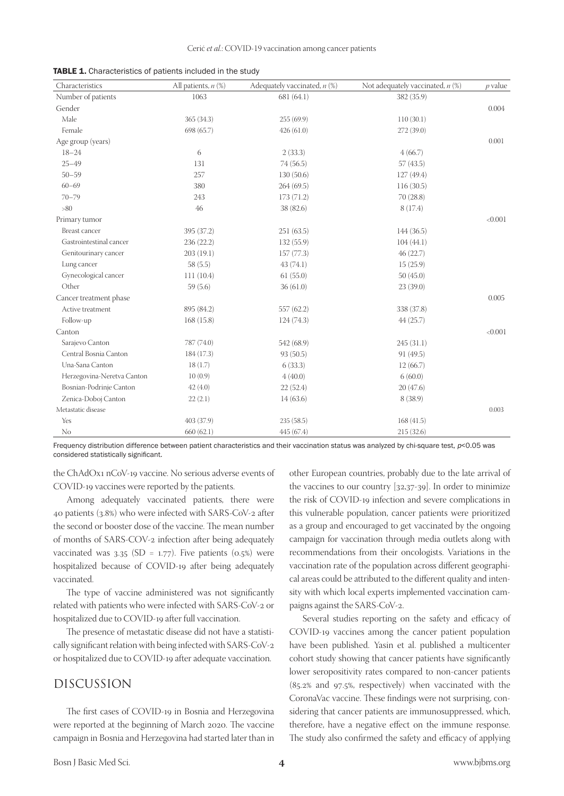| TABLE 1. Characteristics of patients included in the study |  |  |  |  |  |  |
|------------------------------------------------------------|--|--|--|--|--|--|
|------------------------------------------------------------|--|--|--|--|--|--|

| Characteristics            | All patients, $n$ $%$ | Adequately vaccinated, $n$ (%) | Not adequately vaccinated, $n$ (%) | $p$ value |
|----------------------------|-----------------------|--------------------------------|------------------------------------|-----------|
| Number of patients         | 1063                  | 681 (64.1)                     | 382 (35.9)                         |           |
| Gender                     |                       |                                |                                    | 0.004     |
| Male                       | 365 (34.3)            | 255(69.9)                      | 110(30.1)                          |           |
| Female                     | 698 (65.7)            | 426(61.0)                      | 272 (39.0)                         |           |
| Age group (years)          |                       |                                |                                    | 0.001     |
| $18 - 24$                  | 6                     | 2(33.3)                        | 4(66.7)                            |           |
| $25 - 49$                  | 131                   | 74 (56.5)                      | 57(43.5)                           |           |
| $50 - 59$                  | 257                   | 130(50.6)                      | 127 (49.4)                         |           |
| $60 - 69$                  | 380                   | 264(69.5)                      | 116(30.5)                          |           |
| $70 - 79$                  | 243                   | 173(71.2)                      | 70(28.8)                           |           |
| $>80$                      | 46                    | 38 (82.6)                      | 8(17.4)                            |           |
| Primary tumor              |                       |                                |                                    | < 0.001   |
| Breast cancer              | 395 (37.2)            | 251(63.5)                      | 144(36.5)                          |           |
| Gastrointestinal cancer    | 236 (22.2)            | 132(55.9)                      | 104(44.1)                          |           |
| Genitourinary cancer       | 203(19.1)             | 157(77.3)                      | 46(22.7)                           |           |
| Lung cancer                | 58(5.5)               | 43(74.1)                       | 15(25.9)                           |           |
| Gynecological cancer       | 111(10.4)             | 61(55.0)                       | 50(45.0)                           |           |
| Other                      | 59(5.6)               | 36(61.0)                       | 23(39.0)                           |           |
| Cancer treatment phase     |                       |                                |                                    | 0.005     |
| Active treatment           | 895 (84.2)            | 557 (62.2)                     | 338 (37.8)                         |           |
| Follow-up                  | 168(15.8)             | 124(74.3)                      | 44(25.7)                           |           |
| Canton                     |                       |                                |                                    | < 0.001   |
| Sarajevo Canton            | 787 (74.0)            | 542 (68.9)                     | 245(31.1)                          |           |
| Central Bosnia Canton      | 184 (17.3)            | 93 (50.5)                      | 91 (49.5)                          |           |
| Una-Sana Canton            | 18(1.7)               | 6(33.3)                        | 12(66.7)                           |           |
| Herzegovina-Neretva Canton | 10(0.9)               | 4(40.0)                        | 6(60.0)                            |           |
| Bosnian-Podrinje Canton    | 42(4.0)               | 22(52.4)                       | 20(47.6)                           |           |
| Zenica-Doboj Canton        | 22(2.1)               | 14(63.6)                       | 8(38.9)                            |           |
| Metastatic disease         |                       |                                |                                    | 0.003     |
| Yes                        | 403 (37.9)            | 235(58.5)                      | 168(41.5)                          |           |
| N <sub>o</sub>             | 660(62.1)             | 445 (67.4)                     | 215(32.6)                          |           |

Frequency distribution difference between patient characteristics and their vaccination status was analyzed by chi-square test,  $p$ <0.05 was considered statistically significant.

the ChAdOx1 nCoV-19 vaccine. No serious adverse events of COVID-19 vaccines were reported by the patients.

Among adequately vaccinated patients, there were 40 patients (3.8%) who were infected with SARS-CoV-2 after the second or booster dose of the vaccine. The mean number of months of SARS-COV-2 infection after being adequately vaccinated was  $3.35$  (SD = 1.77). Five patients (0.5%) were hospitalized because of COVID-19 after being adequately vaccinated.

The type of vaccine administered was not significantly related with patients who were infected with SARS-CoV-2 or hospitalized due to COVID-19 after full vaccination.

The presence of metastatic disease did not have a statistically significant relation with being infected with SARS-CoV-2 or hospitalized due to COVID-19 after adequate vaccination.

#### DISCUSSION

The first cases of COVID-19 in Bosnia and Herzegovina were reported at the beginning of March 2020. The vaccine campaign in Bosnia and Herzegovina had started later than in other European countries, probably due to the late arrival of the vaccines to our country [32,37-39]. In order to minimize the risk of COVID-19 infection and severe complications in this vulnerable population, cancer patients were prioritized as a group and encouraged to get vaccinated by the ongoing campaign for vaccination through media outlets along with recommendations from their oncologists. Variations in the vaccination rate of the population across different geographical areas could be attributed to the different quality and intensity with which local experts implemented vaccination campaigns against the SARS-CoV-2.

Several studies reporting on the safety and efficacy of COVID-19 vaccines among the cancer patient population have been published. Yasin et al. published a multicenter cohort study showing that cancer patients have significantly lower seropositivity rates compared to non-cancer patients (85.2% and 97.5%, respectively) when vaccinated with the CoronaVac vaccine. These findings were not surprising, considering that cancer patients are immunosuppressed, which, therefore, have a negative effect on the immune response. The study also confirmed the safety and efficacy of applying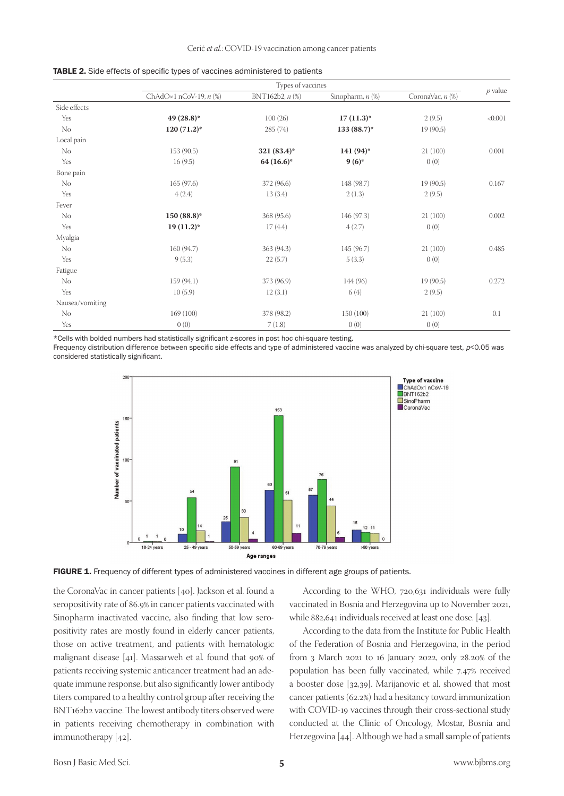|                 | Types of vaccines               |                 |                  |                       |           |  |
|-----------------|---------------------------------|-----------------|------------------|-----------------------|-----------|--|
|                 | ChAdO $\times$ 1 nCoV-19, n (%) | BNT162b2, n (%) | Sinopharm, n (%) | CoronaVac, $n$ $(\%)$ | $p$ value |  |
| Side effects    |                                 |                 |                  |                       |           |  |
| Yes             | $49(28.8)^*$                    | 100(26)         | $17(11.3)^*$     | 2(9.5)                | < 0.001   |  |
| N <sub>o</sub>  | $120(71.2)^*$                   | 285(74)         | $133(88.7)$ *    | 19(90.5)              |           |  |
| Local pain      |                                 |                 |                  |                       |           |  |
| N <sub>o</sub>  | 153(90.5)                       | $321(83.4)$ *   | $141(94)$ *      | 21(100)               | 0.001     |  |
| Yes             | 16(9.5)                         | $64(16.6)$ *    | $9(6)$ *         | 0(0)                  |           |  |
| Bone pain       |                                 |                 |                  |                       |           |  |
| No              | 165(97.6)                       | 372 (96.6)      | 148 (98.7)       | 19(90.5)              | 0.167     |  |
| Yes             | 4(2.4)                          | 13(3.4)         | 2(1.3)           | 2(9.5)                |           |  |
| Fever           |                                 |                 |                  |                       |           |  |
| N <sub>o</sub>  | $150(88.8)$ *                   | 368 (95.6)      | 146 (97.3)       | 21(100)               | 0.002     |  |
| Yes             | $19(11.2)^*$                    | 17(4.4)         | 4(2.7)           | 0(0)                  |           |  |
| Myalgia         |                                 |                 |                  |                       |           |  |
| No              | 160 (94.7)                      | 363 (94.3)      | 145 (96.7)       | 21(100)               | 0.485     |  |
| Yes             | 9(5.3)                          | 22(5.7)         | 5(3.3)           | 0(0)                  |           |  |
| Fatigue         |                                 |                 |                  |                       |           |  |
| No              | 159 (94.1)                      | 373 (96.9)      | 144 (96)         | 19(90.5)              | 0.272     |  |
| Yes             | 10(5.9)                         | 12(3.1)         | 6(4)             | 2(9.5)                |           |  |
| Nausea/vomiting |                                 |                 |                  |                       |           |  |
| No              | 169(100)                        | 378 (98.2)      | 150 (100)        | 21(100)               | 0.1       |  |
| Yes             | 0(0)                            | 7(1.8)          | 0(0)             | 0(0)                  |           |  |

|  |  |  |  | TABLE 2. Side effects of specific types of vaccines administered to patients |  |
|--|--|--|--|------------------------------------------------------------------------------|--|
|--|--|--|--|------------------------------------------------------------------------------|--|

\*Cells with bolded numbers had statistically significant z‑scores in post hoc chi‑square testing.

Frequency distribution difference between specific side effects and type of administered vaccine was analyzed by chi-square test,  $p$ <0.05 was considered statistically significant.





the CoronaVac in cancer patients [40]. Jackson et al. found a seropositivity rate of 86.9% in cancer patients vaccinated with Sinopharm inactivated vaccine, also finding that low seropositivity rates are mostly found in elderly cancer patients, those on active treatment, and patients with hematologic malignant disease [41]. Massarweh et al*.* found that 90% of patients receiving systemic anticancer treatment had an adequate immune response, but also significantly lower antibody titers compared to a healthy control group after receiving the BNT162b2 vaccine. The lowest antibody titers observed were in patients receiving chemotherapy in combination with immunotherapy [42].

According to the WHO, 720,631 individuals were fully vaccinated in Bosnia and Herzegovina up to November 2021, while 882,641 individuals received at least one dose. [43].

According to the data from the Institute for Public Health of the Federation of Bosnia and Herzegovina, in the period from 3 March 2021 to 16 January 2022, only 28.20% of the population has been fully vaccinated, while 7.47% received a booster dose [32,39]. Marijanovic et al. showed that most cancer patients (62.2%) had a hesitancy toward immunization with COVID-19 vaccines through their cross-sectional study conducted at the Clinic of Oncology, Mostar, Bosnia and Herzegovina [44]. Although we had a small sample of patients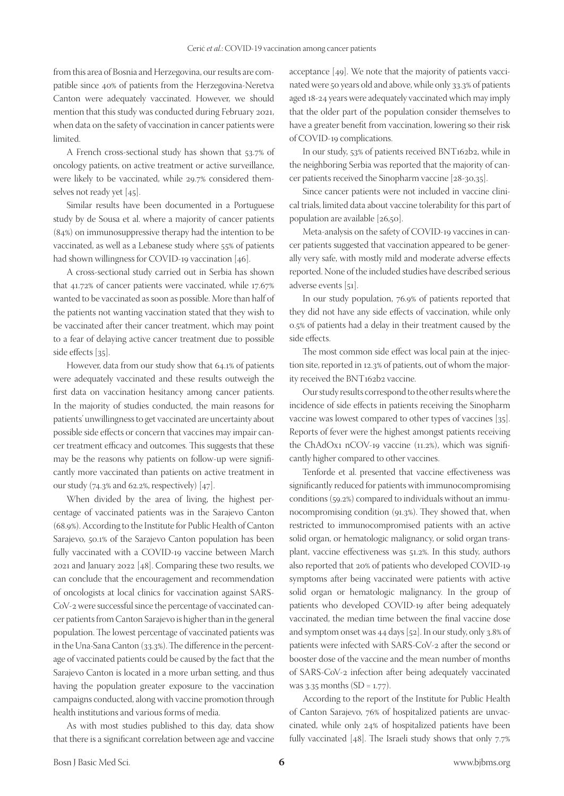from this area of Bosnia and Herzegovina, our results are compatible since 40% of patients from the Herzegovina-Neretva Canton were adequately vaccinated. However, we should mention that this study was conducted during February 2021, when data on the safety of vaccination in cancer patients were limited.

A French cross-sectional study has shown that 53.7% of oncology patients, on active treatment or active surveillance, were likely to be vaccinated, while 29.7% considered themselves not ready yet [45].

Similar results have been documented in a Portuguese study by de Sousa et al. where a majority of cancer patients (84%) on immunosuppressive therapy had the intention to be vaccinated, as well as a Lebanese study where 55% of patients had shown willingness for COVID-19 vaccination [46].

A cross-sectional study carried out in Serbia has shown that 41.72% of cancer patients were vaccinated, while 17.67% wanted to be vaccinated as soon as possible. More than half of the patients not wanting vaccination stated that they wish to be vaccinated after their cancer treatment, which may point to a fear of delaying active cancer treatment due to possible side effects [35].

However, data from our study show that 64.1% of patients were adequately vaccinated and these results outweigh the first data on vaccination hesitancy among cancer patients. In the majority of studies conducted, the main reasons for patients' unwillingness to get vaccinated are uncertainty about possible side effects or concern that vaccines may impair cancer treatment efficacy and outcomes. This suggests that these may be the reasons why patients on follow-up were significantly more vaccinated than patients on active treatment in our study (74.3% and 62.2%, respectively) [47].

When divided by the area of living, the highest percentage of vaccinated patients was in the Sarajevo Canton (68.9%). According to the Institute for Public Health of Canton Sarajevo, 50.1% of the Sarajevo Canton population has been fully vaccinated with a COVID-19 vaccine between March 2021 and January 2022 [48]. Comparing these two results, we can conclude that the encouragement and recommendation of oncologists at local clinics for vaccination against SARS-CoV-2 were successful since the percentage of vaccinated cancer patients from Canton Sarajevo is higher than in the general population. The lowest percentage of vaccinated patients was in the Una-Sana Canton (33.3%). The difference in the percentage of vaccinated patients could be caused by the fact that the Sarajevo Canton is located in a more urban setting, and thus having the population greater exposure to the vaccination campaigns conducted, along with vaccine promotion through health institutions and various forms of media.

As with most studies published to this day, data show that there is a significant correlation between age and vaccine acceptance [49]. We note that the majority of patients vaccinated were 50 years old and above, while only 33.3% of patients aged 18-24 years were adequately vaccinated which may imply that the older part of the population consider themselves to have a greater benefit from vaccination, lowering so their risk of COVID-19 complications.

In our study, 53% of patients received BNT162b2, while in the neighboring Serbia was reported that the majority of cancer patients received the Sinopharm vaccine [28-30,35].

Since cancer patients were not included in vaccine clinical trials, limited data about vaccine tolerability for this part of population are available [26,50].

Meta-analysis on the safety of COVID-19 vaccines in cancer patients suggested that vaccination appeared to be generally very safe, with mostly mild and moderate adverse effects reported. None of the included studies have described serious adverse events [51].

In our study population, 76.9% of patients reported that they did not have any side effects of vaccination, while only 0.5% of patients had a delay in their treatment caused by the side effects.

The most common side effect was local pain at the injection site, reported in 12.3% of patients, out of whom the majority received the BNT162b2 vaccine.

Our study results correspond to the other results where the incidence of side effects in patients receiving the Sinopharm vaccine was lowest compared to other types of vaccines [35]. Reports of fever were the highest amongst patients receiving the ChAdOx1 nCOV-19 vaccine (11.2%), which was significantly higher compared to other vaccines.

Tenforde et al. presented that vaccine effectiveness was significantly reduced for patients with immunocompromising conditions (59.2%) compared to individuals without an immunocompromising condition (91.3%). They showed that, when restricted to immunocompromised patients with an active solid organ, or hematologic malignancy, or solid organ transplant, vaccine effectiveness was 51.2%. In this study, authors also reported that 20% of patients who developed COVID-19 symptoms after being vaccinated were patients with active solid organ or hematologic malignancy. In the group of patients who developed COVID-19 after being adequately vaccinated, the median time between the final vaccine dose and symptom onset was 44 days [52]. In our study, only 3.8% of patients were infected with SARS-CoV-2 after the second or booster dose of the vaccine and the mean number of months of SARS-CoV-2 infection after being adequately vaccinated was 3.35 months (SD = 1.77).

According to the report of the Institute for Public Health of Canton Sarajevo, 76% of hospitalized patients are unvaccinated, while only 24% of hospitalized patients have been fully vaccinated [48]. The Israeli study shows that only 7.7%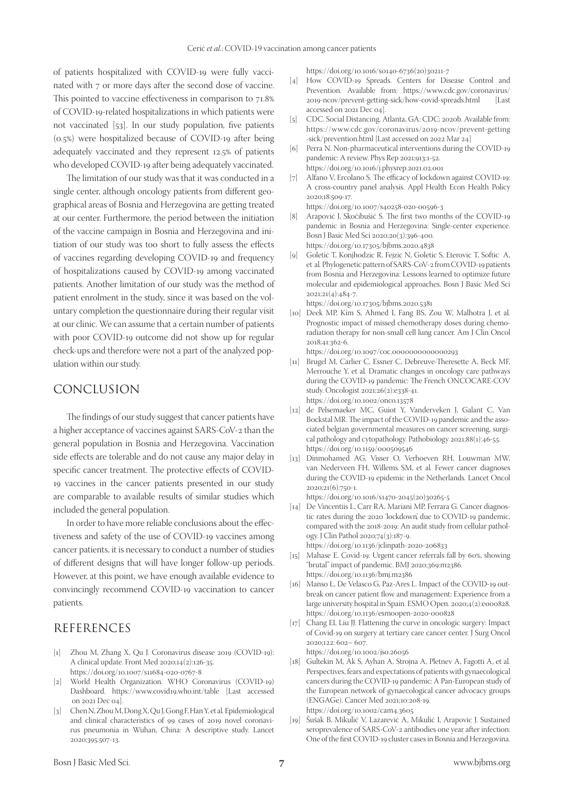of patients hospitalized with COVID-19 were fully vaccinated with 7 or more days after the second dose of vaccine. This pointed to vaccine effectiveness in comparison to 71.8% of COVID-19-related hospitalizations in which patients were not vaccinated [53]. In our study population, five patients (0.5%) were hospitalized because of COVID-19 after being adequately vaccinated and they represent 12.5% of patients who developed COVID-19 after being adequately vaccinated.

The limitation of our study was that it was conducted in a single center, although oncology patients from different geographical areas of Bosnia and Herzegovina are getting treated at our center. Furthermore, the period between the initiation of the vaccine campaign in Bosnia and Herzegovina and initiation of our study was too short to fully assess the effects of vaccines regarding developing COVID-19 and frequency of hospitalizations caused by COVID-19 among vaccinated patients. Another limitation of our study was the method of patient enrolment in the study, since it was based on the voluntary completion the questionnaire during their regular visit at our clinic. We can assume that a certain number of patients with poor COVID-19 outcome did not show up for regular check-ups and therefore were not a part of the analyzed population within our study.

## CONCLUSION

The findings of our study suggest that cancer patients have a higher acceptance of vaccines against SARS-CoV-2 than the general population in Bosnia and Herzegovina. Vaccination side effects are tolerable and do not cause any major delay in specific cancer treatment. The protective effects of COVID-19 vaccines in the cancer patients presented in our study are comparable to available results of similar studies which included the general population.

In order to have more reliable conclusions about the effectiveness and safety of the use of COVID-19 vaccines among cancer patients, it is necessary to conduct a number of studies of different designs that will have longer follow-up periods. However, at this point, we have enough available evidence to convincingly recommend COVID-19 vaccination to cancer patients.

## REFERENCES

- [1] Zhou M, Zhang X, Qu J. Coronavirus disease 2019 (COVID-19): A clinical update. Front Med 2020;14(2):126-35. https://doi.org/10.1007/s11684-020-0767-8
- [2] World Health Organization. WHO Coronavirus (COVID-19) Dashboard. <https://www.covid19.who.int/table>[Last accessed on 2021 Dec 04].
- [3] Chen N, Zhou M, Dong X, Qu J, Gong F, Han Y, et al*.* Epidemiological and clinical characteristics of 99 cases of 2019 novel coronavirus pneumonia in Wuhan, China: A descriptive study. Lancet 2020;395:507-13.

[https://doi.org/10.1016/s0140-6736\(20\)30211-7](https://doi.org/10.1016/s0140-6736(20)30211-7)

- [4] How COVID-19 Spreads. Centers for Disease Control and Prevention. Available from: <https://www.cdc.gov/coronavirus/> 2019-ncov/prevent-getting-sick/how-covid-spreads.html [Last accessed on 2021 Dec 04].
- [5] CDC. Social Distancing. Atlanta, GA: CDC; 2020b. Available from: [https://www.cdc.gov/coronavirus/](https://www.cdc.gov/coronavirus)2019-ncov/prevent-getting -sick/prevention.html [Last accessed on 2022 Mar 24]
- [6] Perra N. Non-pharmaceutical interventions during the COVID-19 pandemic: A review. Phys Rep 2021;913:1-52. <https://doi.org/10.1016/j.physrep.2021.02.001>
- [7] Alfano V, Ercolano S. The efficacy of lockdown against COVID-19: A cross-country panel analysis. Appl Health Econ Health Policy 2020;18:509-17.
	- <https://doi.org/10.1007/s40258-020-00596-3>
- [8] Arapović J, Skočibušić S. The first two months of the COVID-19 pandemic in Bosnia and Herzegovina: Single-center experience. Bosn J Basic Med Sci 2020;20(3):396-400. <https://doi.org/10.17305/bjbms.2020.4838>
- [9] Goletić T, Konjhodzic R, Fejzic N, Goletic S, Eterovic T, Softic A, et al*.* Phylogenetic pattern of SARS-CoV-2 from COVID-19 patients from Bosnia and Herzegovina: Lessons learned to optimize future molecular and epidemiological approaches. Bosn J Basic Med Sci 2021;21(4):484-7.

https://doi.org/10.17305/bjbms.2020.5381

[10] Deek MP, Kim S, Ahmed I, Fang BS, Zou W, Malhotra J, et al*.* Prognostic impact of missed chemotherapy doses during chemoradiation therapy for non-small cell lung cancer. Am J Clin Oncol 2018;41:362-6.

https://doi.org/10.1097/coc.0000000000000293

- [11] Brugel M, Carlier C, Essner C, Debreuve-Theresette A, Beck MF, Merrouche Y, et al*.* Dramatic changes in oncology care pathways during the COVID-19 pandemic: The French ONCOCARE-COV study. Oncologist 2021;26(2):e338-41. https://doi.org/10.1002/onco.13578
- [12] de Pelsemaeker MC, Guiot Y, Vanderveken J, Galant C, Van Bockstal MR. The impact of the COVID-19 pandemic and the associated belgian governmental measures on cancer screening, surgical pathology and cytopathology. Pathobiology 2021;88(1):46-55. https://doi.org/10.1159/000509546
- [13] Dinmohamed AG, Visser O, Verhoeven RH, Louwman MW, van Nederveen FH, Willems SM, et al*.* Fewer cancer diagnoses during the COVID-19 epidemic in the Netherlands. Lancet Oncol 2020;21(6):750-1.

[https://doi.org/10.1016/s1470-2045\(20\)30265-5](https://doi.org/10.1016/s1470-2045(20)30265-5)

- [14] De Vincentiis L, Carr RA, Mariani MP, Ferrara G. Cancer diagnostic rates during the 2020 'lockdown', due to COVID-19 pandemic, compared with the 2018-2019: An audit study from cellular pathology. J Clin Pathol 2020;74(3):187-9. https://doi.org/10.1136/jclinpath-2020-206833
- [15] Mahase E. Covid-19: Urgent cancer referrals fall by 60%, showing
- "brutal" impact of pandemic. BMJ 2020;369:m2386. https://doi.org/10.1136/bmj.m2386
- [16] Manso L, De Velasco G, Paz-Ares L. Impact of the COVID-19 outbreak on cancer patient flow and management: Experience from a large university hospital in Spain. ESMO Open. 2020;4(2):e000828. https://doi.org/10.1136/esmoopen-2020-000828
- [17] Chang EI, Liu JJ. Flattening the curve in oncologic surgery: Impact of Covid-19 on surgery at tertiary care cancer center. J Surg Oncol 2020;122: 602– 607. https://doi.org/10.1002/jso.26056
- [18] Gultekin M, Ak S, Ayhan A, Strojna A, Pletnev A, Fagotti A, et al*.* Perspectives, fears and expectations of patients with gynaecological cancers during the COVID-19 pandemic: A Pan-European study of the European network of gynaecological cancer advocacy groups (ENGAGe). Cancer Med 2021;10:208-19. https://doi.org/10.1002/cam4.3605
- [19] Šušak B, Mikulić V, Lazarević A, Mikulić I, Arapovic J. Sustained seroprevalence of SARS-CoV-2 antibodies one year after infection: One of the first COVID-19 cluster cases in Bosnia and Herzegovina.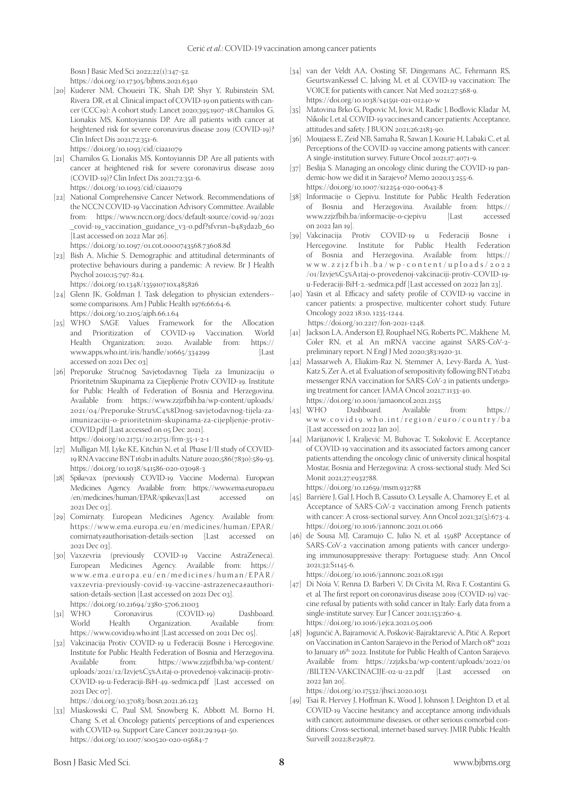Bosn J Basic Med Sci 2022;22(1):147-52. https://doi.org/10.17305/bjbms.2021.6340

[20] Kuderer NM, Choueiri TK, Shah DP, Shyr Y, Rubinstein SM, Rivera DR, et al*.* Clinical impact of COVID-19 on patients with cancer (CCC19): A cohort study. Lancet 2020;395:1907-18.Chamilos G, Lionakis MS, Kontoyiannis DP. Are all patients with cancer at heightened risk for severe coronavirus disease 2019 (COVID-19)? Clin Infect Dis 2021;72:351-6.

https://doi.org/10.1093/cid/ciaa1079

- [21] Chamilos G, Lionakis MS, Kontoyiannis DP. Are all patients with cancer at heightened risk for severe coronavirus disease 2019 (COVID-19)? Clin Infect Dis 2021;72:351-6. https://doi.org/10.1093/cid/ciaa1079
- [22] National Comprehensive Cancer Network. Recommendations of the NCCN COVID-19 Vaccination Advisory Committee. Available from: <https://www.nccn.org/docs/>default-source/covid-19/2021 \_covid-19\_vaccination\_guidance\_v3-0.pdf?sfvrsn=b483da2b\_60 [Last accessed on 2022 Mar 26].

https://doi.org/10.1097/01.cot.0000743568.73608.8d

[23] Bish A, Michie S. Demographic and attitudinal determinants of protective behaviours during a pandemic: A review. Br J Health Psychol 2010;15:797-824.

<https://doi.org/10.1348/135910710x485826>

- [24] Glenn JK, Goldman J. Task delegation to physician extenders-some comparisons. Am J Public Health 1976;66:64-6. https://doi.org/10.2105/ajph.66.1.64
- [25] WHO SAGE Values Framework for the Allocation and Prioritization of COVID-19 Vaccination. World<br>Health Organization; 2020. Available from: https:// Health Organization; 2020. Available www.apps.who.int/iris/handle/10665/334299 [Last accessed on 2021 Dec 03]
- [26] Preporuke Stručnog Savjetodavnog Tijela za Imunizaciju o Prioritetnim Skupinama za Cijepljenje Protiv COVID-19. Institute for Public Health of Federation of Bosnia and Herzegovina. Available from: [https://www.zzjzfbih.ba/wp-content/](https://www.zzjzfbih.ba/wp-content)uploads/ 2021/04/Preporuke-Stru%C4%8Dnog-savjetodavnog-tijela-zaimunizaciju-o-prioritetnim-skupinama-za-cijepljenje-protiv-COVID.pdf [Last accessed on 05 Dec 2021]. https://doi.org/10.21751/10.21751/frm-35-1-2-1
- [27] Mulligan MJ, Lyke KE, Kitchin N, et al. Phase I/II study of COVID-19 RNA vaccine BNT162b1 in adults. Nature 2020;586(7830):589-93. https://doi.org/10.1038/s41586-020-03098-3
- [28] Spikevax (previously COVID-19 Vaccine Moderna). European Medicines Agency. Available from: [https://www.ema.europa.eu](https://www.ema.europa.eu/en/medicines) [/en/medicines](https://www.ema.europa.eu/en/medicines)/human/EPAR/spikevax[Last accessed on 2021 Dec 03].
- [29] Comirnaty. European Medicines Agency. Available from: <https://www.ema.europa.eu/en/medicines>/human/EPAR/ comirnaty#authorisation-details-section [Last accessed on 2021 Dec 03].<br>[30] Vaxzevria
- (previously COVID-19 Vaccine AstraZeneca). European Medicines Agency. Available from: [https://](https://www.ema.europa.eu/en/medicines) [www.ema.europa.eu/en/medicines/](https://www.ema.europa.eu/en/medicines)human/EPAR/ vaxzevria-previously-covid-19-vaccine-astrazeneca#authorisation-details-section [Last accessed on 2021 Dec 03].
- https://doi.org/10.21694/2380-5706.21003<br>WHO Coronavirus (COVID-19) [31] WHO Coronavirus (COVID-19) Dashboard. World Health Organization. Available from: <https://www.covid19.who.int> [Last accessed on 2021 Dec 05].
- [32] Vakcinacija Protiv COVID-19 u Federaciji Bosne i Hercegovine. Institute for Public Health Federation of Bosnia and Herzegovina. Available from: <https://www.zzjzfbih.ba/wp-content/> uploads/2021/12/Izvje%C5%A1taj-o-provedenoj-vakcinaciji-protiv-COVID-19-u-Federaciji-BiH-49.-sedmica.pdf [Last accessed on 2021 Dec 07].

https://doi.org/10.37083/bosn.2021.26.123

[33] Miaskowski C, Paul SM, Snowberg K, Abbott M, Borno H, Chang S, et al*.* Oncology patients' perceptions of and experiences with COVID-19. Support Care Cancer 2021;29:1941-50. https://doi.org/10.1007/s00520-020-05684-7

- [34] van der Veldt AA, Oosting SF, Dingemans AC, Fehrmann RS, GeurtsvanKessel C, Jalving M, et al*.* COVID-19 vaccination: The VOICE for patients with cancer. Nat Med 2021;27:568-9. https://doi.org/10.1038/s41591-021-01240-w
- [35] Matovina Brko G, Popovic M, Jovic M, Radic J, Bodlovic Kladar M, Nikolic I, et al*.* COVID-19 vaccines and cancer patients: Acceptance, attitudes and safety. J BUON 2021;26:2183-90.
- [36] Moujaess E, Zeid NB, Samaha R, Sawan J, Kourie H, Labaki C, et al*.* Perceptions of the COVID-19 vaccine among patients with cancer: A single-institution survey. Future Oncol 2021;17:4071-9.
- [37] Beslija S. Managing an oncology clinic during the COVID-19 pandemic-how we did it in Sarajevo? Memo 2020;13:255-6. https://doi.org/10.1007/s12254-020-00643-8
- [38] Informacije o Cjepivu. Institute for Public Health Federation of Bosnia and Herzegovina. Available from: [https://](https://www.zzjzfbih.ba/informacije-o-cjepivu) [www.zzjzfbih.ba/informacije-o-cjepivu](https://www.zzjzfbih.ba/informacije-o-cjepivu) [Last accessed on 2022 Jan 19].
- [39] Vakcinacija Protiv COVID-19 u Federaciji Bosne i Hercegovine. Institute for Public Health Federation of Bosnia and Herzegovina. Available from: [https://](https://www.zzjzfbih.ba/wp-content/uploads) [www.zzjzf bih.ba/wp-content/uploads](https://www.zzjzfbih.ba/wp-content/uploads) /2022 /01/Izvje%C5%A1taj-o-provedenoj-vakcinaciji-protiv-COVID-19 u-Federaciji-BiH-2.-sedmica.pdf [Last accessed on 2022 Jan 23].
- [40] Yasin et al. Efficacy and safety profile of COVID-19 vaccine in cancer patients: a prospective, multicenter cohort study. Future Oncology 2022 18:10, 1235-1244. https://doi.org/10.2217/fon-2021-1248.
- [41] Jackson LA, Anderson EJ, Rouphael NG, Roberts PC, Makhene M, Coler RN, et al*.* An mRNA vaccine against SARS-CoV-2 preliminary report. N Engl J Med 2020;383:1920-31.
- [42] Massarweh A, Eliakim-Raz N, Stemmer A, Levy-Barda A, Yust-Katz S, Zer A, et al*.* Evaluation of seropositivity following BNT162b2 messenger RNA vaccination for SARS-CoV-2 in patients undergoing treatment for cancer. JAMA Oncol 2021;7:1133-40. https://doi.org/10.1001/jamaoncol.2021.2155<br>WHO Dashboard. Available
- [43] WHO Dashboard. Available from: [https://](https://www.covid19.who.int/region/euro/country/ba) [www.covid19.who.int/region/euro/country/ba](https://www.covid19.who.int/region/euro/country/ba) [Last accessed on 2022 Jan 20].
- [44] Marijanović I, Kraljević M, Buhovac T, Sokolović E. Acceptance of COVID-19 vaccination and its associated factors among cancer patients attending the oncology clinic of university clinical hospital Mostar, Bosnia and Herzegovina: A cross-sectional study. Med Sci Monit 2021;27:e932788. https://doi.org/10.12659/msm.932788
- [45] Barrière J, Gal J, Hoch B, Cassuto O, Leysalle A, Chamorey E, et al*.* Acceptance of SARS-CoV-2 vaccination among French patients with cancer: A cross-sectional survey. Ann Oncol 2021;32(5):673-4. https://doi.org/10.1016/j.annonc.2021.01.066
- [46] de Sousa MJ, Caramujo C, Julio N, et al. 1598P Acceptance of SARS-CoV-2 vaccination among patients with cancer undergoing immunosuppressive therapy: Portuguese study. Ann Oncol 2021;32:S1145-6.

https://doi.org/10.1016/j.annonc.2021.08.1591

- [47] Di Noia V, Renna D, Barberi V, Di Civita M, Riva F, Costantini G, et al*.* The first report on coronavirus disease 2019 (COVID-19) vaccine refusal by patients with solid cancer in Italy: Early data from a single-institute survey. Eur J Cancer 2021;153:260-4. https://doi.org/10.1016/j.ejca.2021.05.006
- [48] Jogunčić A, Bajramović A, Pošković-Bajraktarević A, Pitić A. Report on Vaccination in Canton Sarajevo in the Period of March 08th 2021 to January 16<sup>th</sup> 2022. Institute for Public Health of Canton Sarajevo. Available from: <https://zzjzks.ba/wp-content/uploads/2022/01><br>/BILTEN-VAKCINACIJE-02-u-22.pdf [Last accessed on /BILTEN-VAKCINACIJE-02-u-22.pdf [Last accessed on 2022 Jan 20].

https://doi.org/10.17532/jhsci.2020.1031

[49] Tsai R, Hervey J, Hoffman K, Wood J, Johnson J, Deighton D, et al*.* COVID-19 Vaccine hesitancy and acceptance among individuals with cancer, autoimmune diseases, or other serious comorbid conditions: Cross-sectional, internet-based survey. JMIR Public Health Surveill 2022;8:e29872.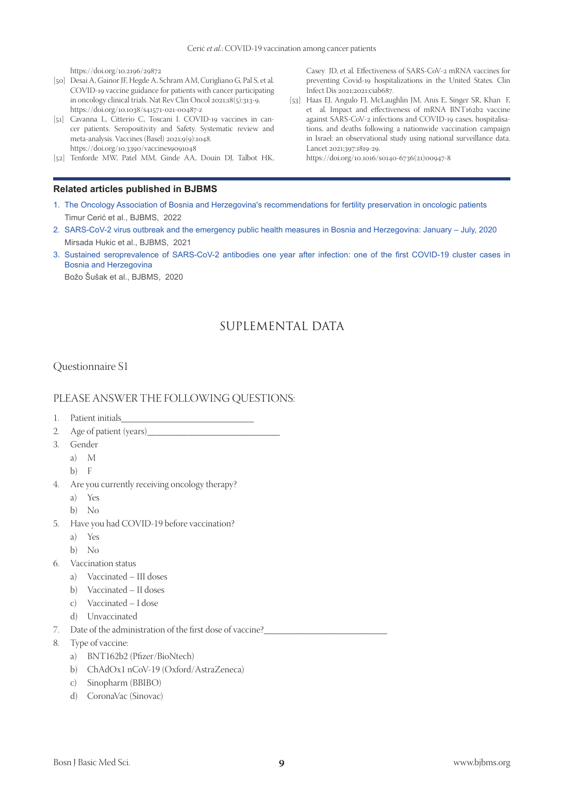https://doi.org/10.2196/29872

- [50] Desai A, Gainor JF, Hegde A, Schram AM, Curigliano G, Pal S, et al*.* COVID-19 vaccine guidance for patients with cancer participating in oncology clinical trials. Nat Rev Clin Oncol 2021;18(5):313-9. https://doi.org/10.1038/s41571-021-00487-z
- [51] Cavanna L, Citterio C, Toscani I. COVID-19 vaccines in cancer patients. Seropositivity and Safety. Systematic review and meta-analysis. Vaccines (Basel) 2021;9(9):1048. https://doi.org/10.3390/vaccines9091048
- [52] Tenforde MW, Patel MM, Ginde AA, Douin DJ, Talbot HK,

#### **Related articles published in BJBMS**

Casey JD, et al*.* Effectiveness of SARS-CoV-2 mRNA vaccines for preventing Covid-19 hospitalizations in the United States. Clin Infect Dis 2021;2021:ciab687.

[53] Haas EJ, Angulo FJ, McLaughlin JM, Anis E, Singer SR, Khan F, et al*.* Impact and effectiveness of mRNA BNT162b2 vaccine against SARS-CoV-2 infections and COVID-19 cases, hospitalisations, and deaths following a nationwide vaccination campaign in Israel: an observational study using national surveillance data. Lancet 2021;397:1819-29.

https://doi.org/10.1016/s0140-6736(21)00947-8

- 1. [The Oncology Association of Bosnia and Herzegovina's recommendations for fertility preservation in oncologic patients](https://www.bjbms.org/ojs/index.php/bjbms/article/view/6977) Timur Cerić et al., BJBMS, 2022
- 2. SARS-CoV-2 virus outbreak and the emergency public health measures in Bosnia and [Herzegovina:](https://www.bjbms.org/ojs/index.php/bjbms/article/view/5081) January July, 2020 Mirsada Hukic et al., BJBMS, 2021
- 3. Sustained [seroprevalence](https://www.bjbms.org/ojs/index.php/bjbms/article/view/6340) of SARS-CoV-2 antibodies one year after infection: one of the first COVID-19 cluster cases in [Bosnia and Herzegovina](https://www.bjbms.org/ojs/index.php/bjbms/article/view/6340)

 Božo Šušak et al., BJBMS, 2020

# SUPLEMENTAL DATA

#### Questionnaire S1

#### PLEASE ANSWER THE FOLLOWING QUESTIONS:

- 1. Patient initials\_
- 2. Age of patient (years)\_\_\_\_\_\_\_\_\_\_\_\_\_\_\_\_\_\_\_\_\_\_\_\_\_\_\_\_\_
- 3. Gender
	- a) M
		- b) F
- 4. Are you currently receiving oncology therapy?
	- a) Yes
	- b) No
- 5. Have you had COVID-19 before vaccination?
	- a) Yes
	- b) No
- 6. Vaccination status
	- a) Vaccinated III doses
	- b) Vaccinated II doses
	- c) Vaccinated I dose
	- d) Unvaccinated
- 7. Date of the administration of the first dose of vaccine?
- 8. Type of vaccine:
	- a) BNT162b2 (Pfizer/BioNtech)
	- b) ChAdOx1 nCoV-19 (Oxford/AstraZeneca)
	- c) Sinopharm (BBIBO)
	- d) CoronaVac (Sinovac)